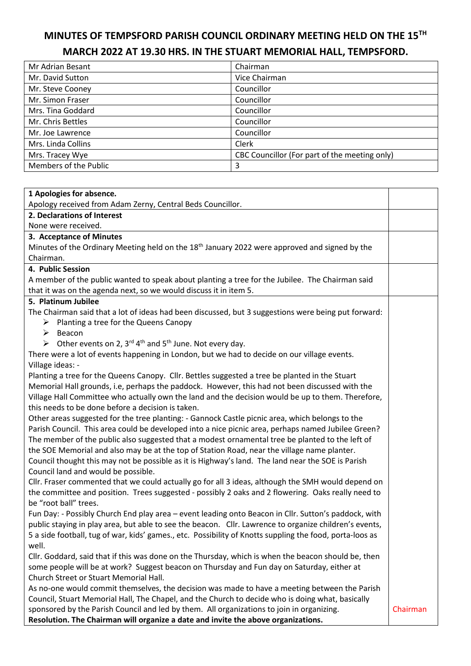## **MINUTES OF TEMPSFORD PARISH COUNCIL ORDINARY MEETING HELD ON THE 15TH MARCH 2022 AT 19.30 HRS. IN THE STUART MEMORIAL HALL, TEMPSFORD.**

| Mr Adrian Besant      | Chairman                                      |
|-----------------------|-----------------------------------------------|
| Mr. David Sutton      | Vice Chairman                                 |
| Mr. Steve Cooney      | Councillor                                    |
| Mr. Simon Fraser      | Councillor                                    |
| Mrs. Tina Goddard     | Councillor                                    |
| Mr. Chris Bettles     | Councillor                                    |
| Mr. Joe Lawrence      | Councillor                                    |
| Mrs. Linda Collins    | Clerk                                         |
| Mrs. Tracey Wye       | CBC Councillor (For part of the meeting only) |
| Members of the Public | 3                                             |

| 1 Apologies for absence.                                                                                     |          |  |
|--------------------------------------------------------------------------------------------------------------|----------|--|
| Apology received from Adam Zerny, Central Beds Councillor.                                                   |          |  |
| 2. Declarations of Interest                                                                                  |          |  |
| None were received.                                                                                          |          |  |
| 3. Acceptance of Minutes                                                                                     |          |  |
| Minutes of the Ordinary Meeting held on the 18 <sup>th</sup> January 2022 were approved and signed by the    |          |  |
| Chairman.                                                                                                    |          |  |
| 4. Public Session                                                                                            |          |  |
| A member of the public wanted to speak about planting a tree for the Jubilee. The Chairman said              |          |  |
| that it was on the agenda next, so we would discuss it in item 5.                                            |          |  |
| 5. Platinum Jubilee                                                                                          |          |  |
| The Chairman said that a lot of ideas had been discussed, but 3 suggestions were being put forward:          |          |  |
| $\triangleright$ Planting a tree for the Queens Canopy                                                       |          |  |
| $\triangleright$ Beacon                                                                                      |          |  |
| > Other events on 2, 3 <sup>rd</sup> 4 <sup>th</sup> and 5 <sup>th</sup> June. Not every day.                |          |  |
| There were a lot of events happening in London, but we had to decide on our village events.                  |          |  |
| Village ideas: -                                                                                             |          |  |
| Planting a tree for the Queens Canopy. Cllr. Bettles suggested a tree be planted in the Stuart               |          |  |
| Memorial Hall grounds, i.e, perhaps the paddock. However, this had not been discussed with the               |          |  |
| Village Hall Committee who actually own the land and the decision would be up to them. Therefore,            |          |  |
| this needs to be done before a decision is taken.                                                            |          |  |
| Other areas suggested for the tree planting: - Gannock Castle picnic area, which belongs to the              |          |  |
| Parish Council. This area could be developed into a nice picnic area, perhaps named Jubilee Green?           |          |  |
| The member of the public also suggested that a modest ornamental tree be planted to the left of              |          |  |
| the SOE Memorial and also may be at the top of Station Road, near the village name planter.                  |          |  |
| Council thought this may not be possible as it is Highway's land. The land near the SOE is Parish            |          |  |
| Council land and would be possible.                                                                          |          |  |
| Cllr. Fraser commented that we could actually go for all 3 ideas, although the SMH would depend on           |          |  |
| the committee and position. Trees suggested - possibly 2 oaks and 2 flowering. Oaks really need to           |          |  |
| be "root ball" trees.                                                                                        |          |  |
| Fun Day: - Possibly Church End play area - event leading onto Beacon in Cllr. Sutton's paddock, with         |          |  |
| public staying in play area, but able to see the beacon. Cllr. Lawrence to organize children's events,       |          |  |
| 5 a side football, tug of war, kids' games., etc. Possibility of Knotts suppling the food, porta-loos as     |          |  |
| well.<br>Cllr. Goddard, said that if this was done on the Thursday, which is when the beacon should be, then |          |  |
| some people will be at work? Suggest beacon on Thursday and Fun day on Saturday, either at                   |          |  |
| Church Street or Stuart Memorial Hall.                                                                       |          |  |
| As no-one would commit themselves, the decision was made to have a meeting between the Parish                |          |  |
| Council, Stuart Memorial Hall, The Chapel, and the Church to decide who is doing what, basically             |          |  |
| sponsored by the Parish Council and led by them. All organizations to join in organizing.                    | Chairman |  |
| Resolution. The Chairman will organize a date and invite the above organizations.                            |          |  |
|                                                                                                              |          |  |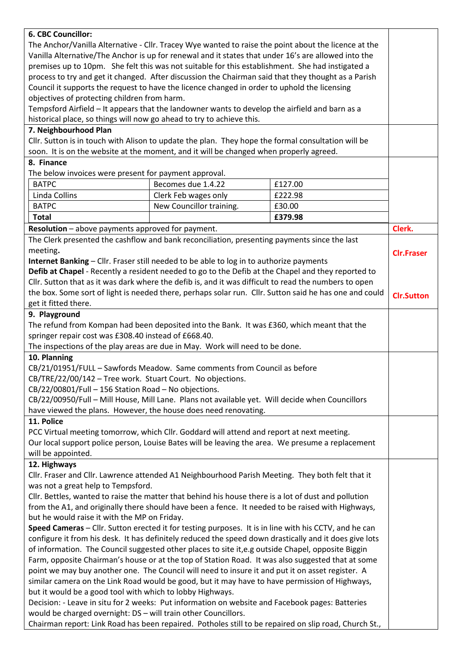| 6. CBC Councillor:                                                                                                                                           |                          |         |                   |  |
|--------------------------------------------------------------------------------------------------------------------------------------------------------------|--------------------------|---------|-------------------|--|
| The Anchor/Vanilla Alternative - Cllr. Tracey Wye wanted to raise the point about the licence at the                                                         |                          |         |                   |  |
| Vanilla Alternative/The Anchor is up for renewal and it states that under 16's are allowed into the                                                          |                          |         |                   |  |
| premises up to 10pm. She felt this was not suitable for this establishment. She had instigated a                                                             |                          |         |                   |  |
| process to try and get it changed. After discussion the Chairman said that they thought as a Parish                                                          |                          |         |                   |  |
| Council it supports the request to have the licence changed in order to uphold the licensing                                                                 |                          |         |                   |  |
| objectives of protecting children from harm.                                                                                                                 |                          |         |                   |  |
| Tempsford Airfield - It appears that the landowner wants to develop the airfield and barn as a                                                               |                          |         |                   |  |
| historical place, so things will now go ahead to try to achieve this.                                                                                        |                          |         |                   |  |
| 7. Neighbourhood Plan                                                                                                                                        |                          |         |                   |  |
| Cllr. Sutton is in touch with Alison to update the plan. They hope the formal consultation will be                                                           |                          |         |                   |  |
| soon. It is on the website at the moment, and it will be changed when properly agreed.                                                                       |                          |         |                   |  |
| 8. Finance                                                                                                                                                   |                          |         |                   |  |
| The below invoices were present for payment approval.                                                                                                        |                          |         |                   |  |
| <b>BATPC</b>                                                                                                                                                 | Becomes due 1.4.22       | £127.00 |                   |  |
|                                                                                                                                                              |                          |         |                   |  |
| Linda Collins                                                                                                                                                | Clerk Feb wages only     | £222.98 |                   |  |
| <b>BATPC</b>                                                                                                                                                 | New Councillor training. | £30.00  |                   |  |
| <b>Total</b>                                                                                                                                                 |                          | £379.98 |                   |  |
| Resolution - above payments approved for payment.                                                                                                            |                          |         | Clerk.            |  |
| The Clerk presented the cashflow and bank reconciliation, presenting payments since the last                                                                 |                          |         |                   |  |
| meeting.                                                                                                                                                     |                          |         | <b>Clr.Fraser</b> |  |
| Internet Banking - Cllr. Fraser still needed to be able to log in to authorize payments                                                                      |                          |         |                   |  |
| Defib at Chapel - Recently a resident needed to go to the Defib at the Chapel and they reported to                                                           |                          |         |                   |  |
| Cllr. Sutton that as it was dark where the defib is, and it was difficult to read the numbers to open                                                        |                          |         |                   |  |
| the box. Some sort of light is needed there, perhaps solar run. Cllr. Sutton said he has one and could                                                       |                          |         | <b>Clr.Sutton</b> |  |
| get it fitted there.                                                                                                                                         |                          |         |                   |  |
| 9. Playground                                                                                                                                                |                          |         |                   |  |
|                                                                                                                                                              |                          |         |                   |  |
| The refund from Kompan had been deposited into the Bank. It was £360, which meant that the<br>springer repair cost was £308.40 instead of £668.40.           |                          |         |                   |  |
|                                                                                                                                                              |                          |         |                   |  |
| The inspections of the play areas are due in May. Work will need to be done.                                                                                 |                          |         |                   |  |
| 10. Planning                                                                                                                                                 |                          |         |                   |  |
| CB/21/01951/FULL - Sawfords Meadow. Same comments from Council as before                                                                                     |                          |         |                   |  |
| CB/TRE/22/00/142 - Tree work. Stuart Court. No objections.                                                                                                   |                          |         |                   |  |
| CB/22/00801/Full - 156 Station Road - No objections.                                                                                                         |                          |         |                   |  |
| CB/22/00950/Full - Mill House, Mill Lane. Plans not available yet. Will decide when Councillors                                                              |                          |         |                   |  |
| have viewed the plans. However, the house does need renovating.                                                                                              |                          |         |                   |  |
| 11. Police                                                                                                                                                   |                          |         |                   |  |
| PCC Virtual meeting tomorrow, which Cllr. Goddard will attend and report at next meeting.                                                                    |                          |         |                   |  |
| Our local support police person, Louise Bates will be leaving the area. We presume a replacement                                                             |                          |         |                   |  |
| will be appointed.                                                                                                                                           |                          |         |                   |  |
| 12. Highways                                                                                                                                                 |                          |         |                   |  |
| Cllr. Fraser and Cllr. Lawrence attended A1 Neighbourhood Parish Meeting. They both felt that it                                                             |                          |         |                   |  |
| was not a great help to Tempsford.                                                                                                                           |                          |         |                   |  |
| Cllr. Bettles, wanted to raise the matter that behind his house there is a lot of dust and pollution                                                         |                          |         |                   |  |
| from the A1, and originally there should have been a fence. It needed to be raised with Highways,                                                            |                          |         |                   |  |
| but he would raise it with the MP on Friday.                                                                                                                 |                          |         |                   |  |
| Speed Cameras - Cllr. Sutton erected it for testing purposes. It is in line with his CCTV, and he can                                                        |                          |         |                   |  |
| configure it from his desk. It has definitely reduced the speed down drastically and it does give lots                                                       |                          |         |                   |  |
| of information. The Council suggested other places to site it,e.g outside Chapel, opposite Biggin                                                            |                          |         |                   |  |
|                                                                                                                                                              |                          |         |                   |  |
| Farm, opposite Chairman's house or at the top of Station Road. It was also suggested that at some                                                            |                          |         |                   |  |
| point we may buy another one. The Council will need to insure it and put it on asset register. A                                                             |                          |         |                   |  |
| similar camera on the Link Road would be good, but it may have to have permission of Highways,                                                               |                          |         |                   |  |
| but it would be a good tool with which to lobby Highways.<br>Decision: - Leave in situ for 2 weeks: Put information on website and Facebook pages: Batteries |                          |         |                   |  |
|                                                                                                                                                              |                          |         |                   |  |
| would be charged overnight: DS - will train other Councillors.                                                                                               |                          |         |                   |  |
| Chairman report: Link Road has been repaired. Potholes still to be repaired on slip road, Church St.,                                                        |                          |         |                   |  |